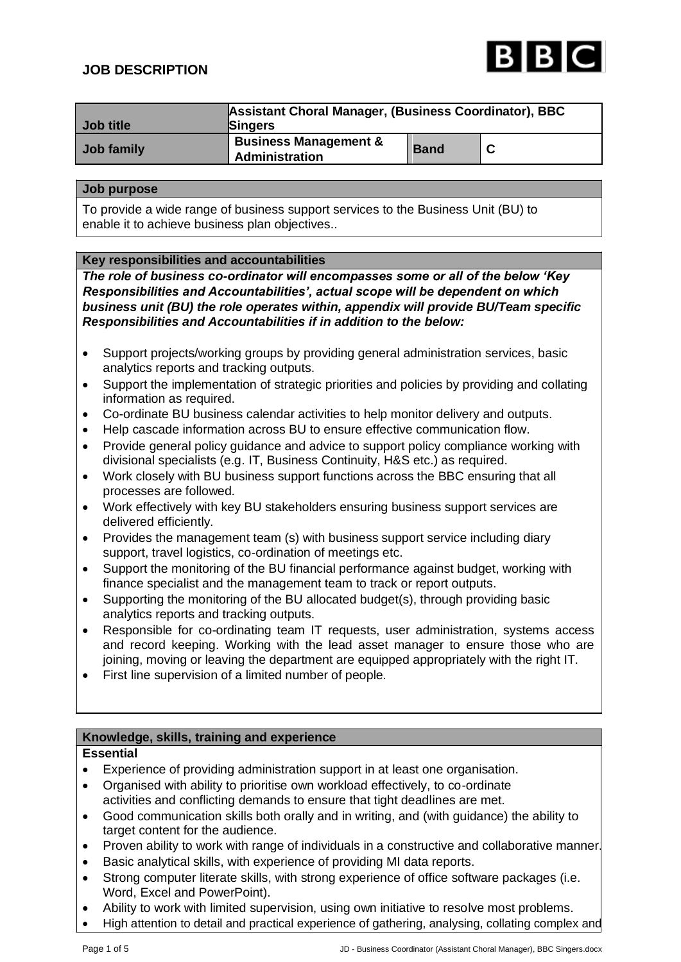# **JOB DESCRIPTION**



| Job title  | Assistant Choral Manager, (Business Coordinator), BBC<br><b>Singers</b> |             |  |
|------------|-------------------------------------------------------------------------|-------------|--|
| Job family | <b>Business Management &amp;</b><br>Administration                      | <b>Band</b> |  |

#### **Job purpose**

To provide a wide range of business support services to the Business Unit (BU) to enable it to achieve business plan objectives..

#### **Key responsibilities and accountabilities**

*The role of business co-ordinator will encompasses some or all of the below 'Key Responsibilities and Accountabilities', actual scope will be dependent on which business unit (BU) the role operates within, appendix will provide BU/Team specific Responsibilities and Accountabilities if in addition to the below:*

- Support projects/working groups by providing general administration services, basic analytics reports and tracking outputs.
- Support the implementation of strategic priorities and policies by providing and collating information as required.
- Co-ordinate BU business calendar activities to help monitor delivery and outputs.
- Help cascade information across BU to ensure effective communication flow.
- Provide general policy guidance and advice to support policy compliance working with divisional specialists (e.g. IT, Business Continuity, H&S etc.) as required.
- Work closely with BU business support functions across the BBC ensuring that all processes are followed.
- Work effectively with key BU stakeholders ensuring business support services are delivered efficiently.
- Provides the management team (s) with business support service including diary support, travel logistics, co-ordination of meetings etc.
- Support the monitoring of the BU financial performance against budget, working with finance specialist and the management team to track or report outputs.
- Supporting the monitoring of the BU allocated budget(s), through providing basic analytics reports and tracking outputs.
- Responsible for co-ordinating team IT requests, user administration, systems access and record keeping. Working with the lead asset manager to ensure those who are joining, moving or leaving the department are equipped appropriately with the right IT.
- First line supervision of a limited number of people.

# **Knowledge, skills, training and experience**

#### **Essential**

- Experience of providing administration support in at least one organisation.
- Organised with ability to prioritise own workload effectively, to co-ordinate activities and conflicting demands to ensure that tight deadlines are met.
- Good communication skills both orally and in writing, and (with guidance) the ability to target content for the audience.
- Proven ability to work with range of individuals in a constructive and collaborative manner.
- Basic analytical skills, with experience of providing MI data reports.
- Strong computer literate skills, with strong experience of office software packages (i.e. Word, Excel and PowerPoint).
- Ability to work with limited supervision, using own initiative to resolve most problems.
- High attention to detail and practical experience of gathering, analysing, collating complex and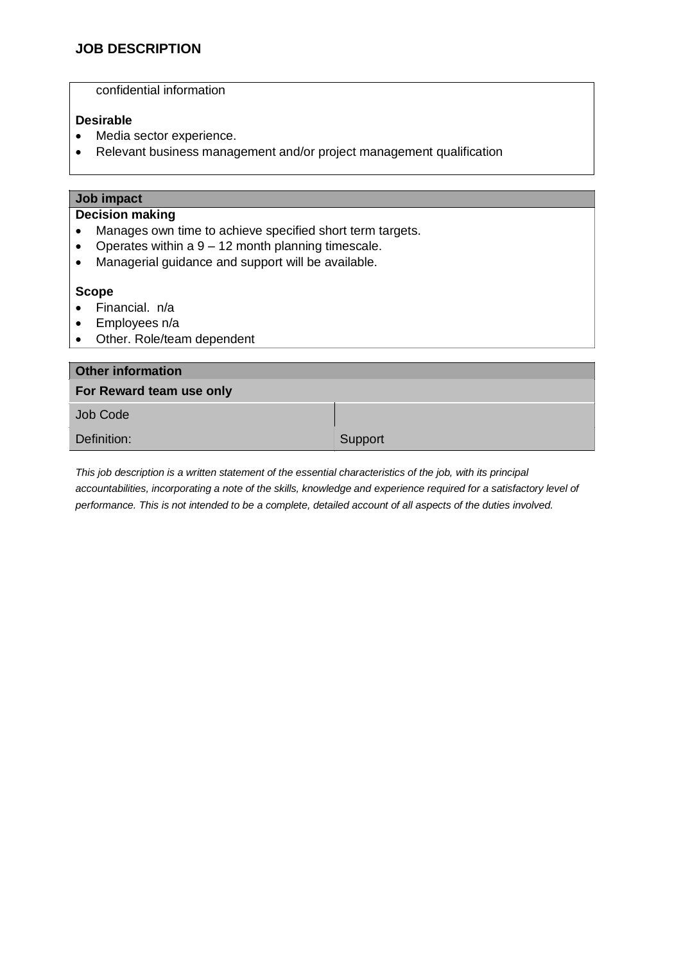confidential information

# **Desirable**

- Media sector experience.
- Relevant business management and/or project management qualification

| Job impact                                                        |         |  |
|-------------------------------------------------------------------|---------|--|
| <b>Decision making</b>                                            |         |  |
| Manages own time to achieve specified short term targets.         |         |  |
| Operates within a $9 - 12$ month planning timescale.<br>$\bullet$ |         |  |
| Managerial guidance and support will be available.<br>$\bullet$   |         |  |
|                                                                   |         |  |
| <b>Scope</b>                                                      |         |  |
| Financial. n/a                                                    |         |  |
| Employees n/a<br>٠                                                |         |  |
| Other. Role/team dependent<br>$\bullet$                           |         |  |
|                                                                   |         |  |
| <b>Other information</b>                                          |         |  |
| For Reward team use only                                          |         |  |
| <b>Job Code</b>                                                   |         |  |
| Definition:                                                       | Support |  |

*This job description is a written statement of the essential characteristics of the job, with its principal accountabilities, incorporating a note of the skills, knowledge and experience required for a satisfactory level of performance. This is not intended to be a complete, detailed account of all aspects of the duties involved.*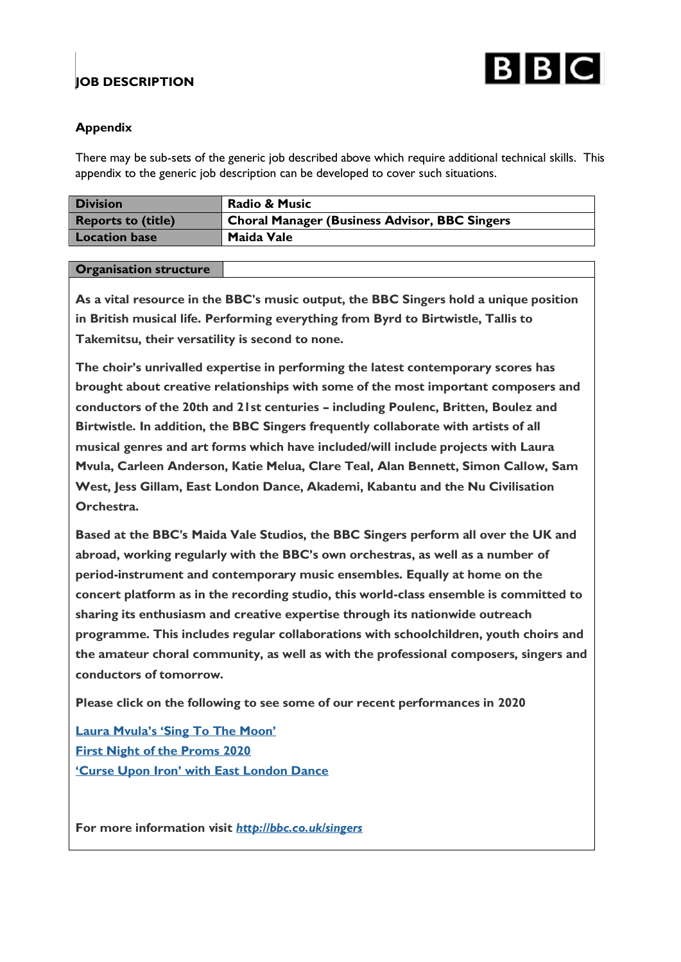

# **JOB DESCRIPTION**

# **Appendix**

There may be sub-sets of the generic job described above which require additional technical skills. This appendix to the generic job description can be developed to cover such situations.

| <b>Division</b>           | <b>Radio &amp; Music</b>                      |
|---------------------------|-----------------------------------------------|
| <b>Reports to (title)</b> | Choral Manager (Business Advisor, BBC Singers |
| <b>Location base</b>      | Maida Vale                                    |

# **Organisation structure**

**As a vital resource in the BBC's music output, the BBC Singers hold a unique position in British musical life. Performing everything from Byrd to Birtwistle, Tallis to Takemitsu, their versatility is second to none.**

**The choir's unrivalled expertise in performing the latest contemporary scores has brought about creative relationships with some of the most important composers and conductors of the 20th and 21st centuries – including Poulenc, Britten, Boulez and Birtwistle. In addition, the BBC Singers frequently collaborate with artists of all musical genres and art forms which have included/will include projects with Laura Mvula, Carleen Anderson, Katie Melua, Clare Teal, Alan Bennett, Simon Callow, Sam West, Jess Gillam, East London Dance, Akademi, Kabantu and the Nu Civilisation Orchestra.**

**Based at the BBC's Maida Vale Studios, the BBC Singers perform all over the UK and abroad, working regularly with the BBC's own orchestras, as well as a number of period-instrument and contemporary music ensembles. Equally at home on the concert platform as in the recording studio, this world-class ensemble is committed to sharing its enthusiasm and creative expertise through its nationwide outreach programme. This includes regular collaborations with schoolchildren, youth choirs and the amateur choral community, as well as with the professional composers, singers and conductors of tomorrow.**

**Please click on the following to see some of our recent performances in 2020**

**Laura [Mvula's](https://www.bbc.co.uk/programmes/p08c0nxk) 'Sing To The Moon' First Night of the [Proms](https://www.youtube.com/watch?v=NEn--1JW-p0) 2020 'Curse Upon Iron' with East [London](https://www.bbc.co.uk/programmes/p08xlm87) Dance**

**For more information visit** *<http://bbc.co.uk/singers>*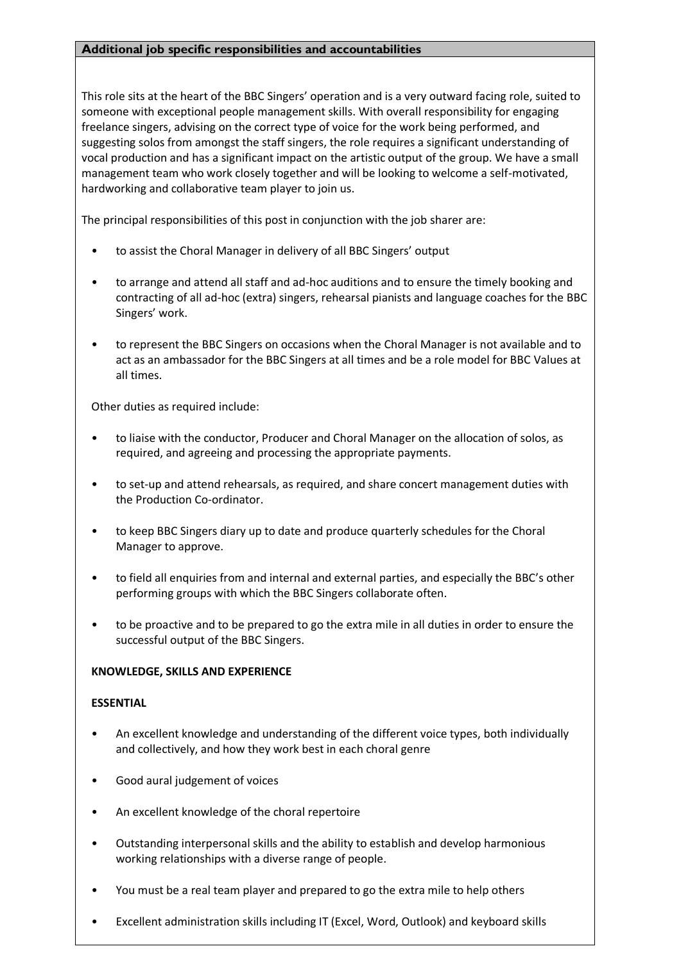#### **Additional job specific responsibilities and accountabilities**

This role sits at the heart of the BBC Singers' operation and is a very outward facing role, suited to someone with exceptional people management skills. With overall responsibility for engaging freelance singers, advising on the correct type of voice for the work being performed, and suggesting solos from amongst the staff singers, the role requires a significant understanding of vocal production and has a significant impact on the artistic output of the group. We have a small management team who work closely together and will be looking to welcome a self-motivated, hardworking and collaborative team player to join us.

The principal responsibilities of this post in conjunction with the job sharer are:

- to assist the Choral Manager in delivery of all BBC Singers' output
- to arrange and attend all staff and ad-hoc auditions and to ensure the timely booking and contracting of all ad-hoc (extra) singers, rehearsal pianists and language coaches for the BBC Singers' work.
- to represent the BBC Singers on occasions when the Choral Manager is not available and to act as an ambassador for the BBC Singers at all times and be a role model for BBC Values at all times.

Other duties as required include:

- to liaise with the conductor, Producer and Choral Manager on the allocation of solos, as required, and agreeing and processing the appropriate payments.
- to set-up and attend rehearsals, as required, and share concert management duties with the Production Co-ordinator.
- to keep BBC Singers diary up to date and produce quarterly schedules for the Choral Manager to approve.
- to field all enquiries from and internal and external parties, and especially the BBC's other performing groups with which the BBC Singers collaborate often.
- to be proactive and to be prepared to go the extra mile in all duties in order to ensure the successful output of the BBC Singers.

# **KNOWLEDGE, SKILLS AND EXPERIENCE**

#### **ESSENTIAL**

- An excellent knowledge and understanding of the different voice types, both individually and collectively, and how they work best in each choral genre
- Good aural judgement of voices
- An excellent knowledge of the choral repertoire
- Outstanding interpersonal skills and the ability to establish and develop harmonious working relationships with a diverse range of people.
- You must be a real team player and prepared to go the extra mile to help others
- Excellent administration skills including IT (Excel, Word, Outlook) and keyboard skills